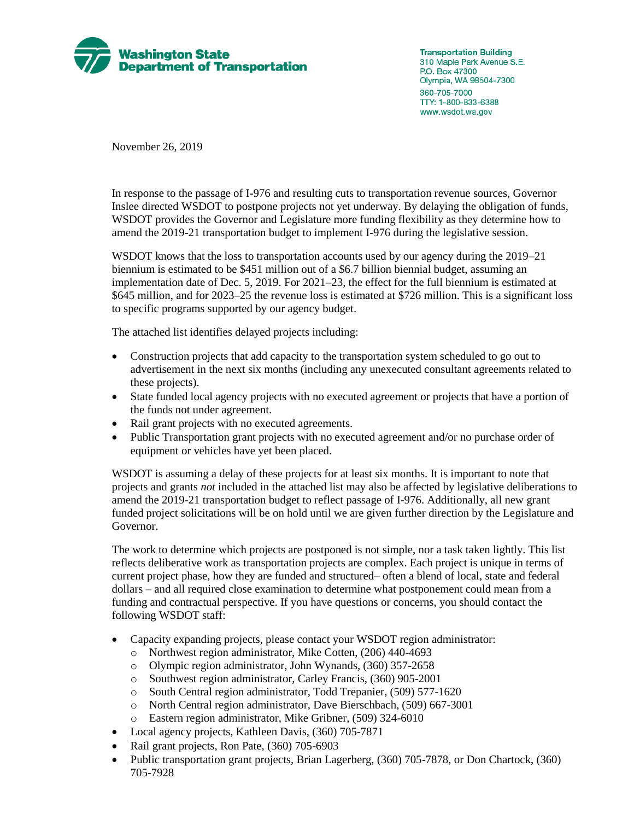

**Transportation Building** 310 Maple Park Avenue S.E. P.O. Box 47300 Olympia, WA 98504-7300 360-705-7000 TTY: 1-800-833-6388 www.wsdot.wa.gov

November 26, 2019

In response to the passage of I-976 and resulting cuts to transportation revenue sources, Governor Inslee directed WSDOT to postpone projects not yet underway. By delaying the obligation of funds, WSDOT provides the Governor and Legislature more funding flexibility as they determine how to amend the 2019-21 transportation budget to implement I-976 during the legislative session.

WSDOT knows that the loss to transportation accounts used by our agency during the 2019–21 biennium is estimated to be \$451 million out of a \$6.7 billion biennial budget, assuming an implementation date of Dec. 5, 2019. For 2021–23, the effect for the full biennium is estimated at \$645 million, and for 2023–25 the revenue loss is estimated at \$726 million. This is a significant loss to specific programs supported by our agency budget.

The attached list identifies delayed projects including:

- Construction projects that add capacity to the transportation system scheduled to go out to advertisement in the next six months (including any unexecuted consultant agreements related to these projects).
- State funded local agency projects with no executed agreement or projects that have a portion of the funds not under agreement.
- Rail grant projects with no executed agreements.
- Public Transportation grant projects with no executed agreement and/or no purchase order of equipment or vehicles have yet been placed.

WSDOT is assuming a delay of these projects for at least six months. It is important to note that projects and grants *not* included in the attached list may also be affected by legislative deliberations to amend the 2019-21 transportation budget to reflect passage of I-976. Additionally, all new grant funded project solicitations will be on hold until we are given further direction by the Legislature and Governor.

The work to determine which projects are postponed is not simple, nor a task taken lightly. This list reflects deliberative work as transportation projects are complex. Each project is unique in terms of current project phase, how they are funded and structured– often a blend of local, state and federal dollars – and all required close examination to determine what postponement could mean from a funding and contractual perspective. If you have questions or concerns, you should contact the following WSDOT staff:

- Capacity expanding projects, please contact your WSDOT region administrator:
	- o Northwest region administrator, Mike Cotten, (206) 440-4693
	- o Olympic region administrator, John Wynands, (360) 357-2658
	- o Southwest region administrator, Carley Francis, (360) 905-2001
	- o South Central region administrator, Todd Trepanier, (509) 577-1620
	- o North Central region administrator, Dave Bierschbach, (509) 667-3001
	- o Eastern region administrator, Mike Gribner, (509) 324-6010
- Local agency projects, Kathleen Davis, (360) 705-7871
- Rail grant projects, Ron Pate, (360) 705-6903
- Public transportation grant projects, Brian Lagerberg, (360) 705-7878, or Don Chartock, (360) 705-7928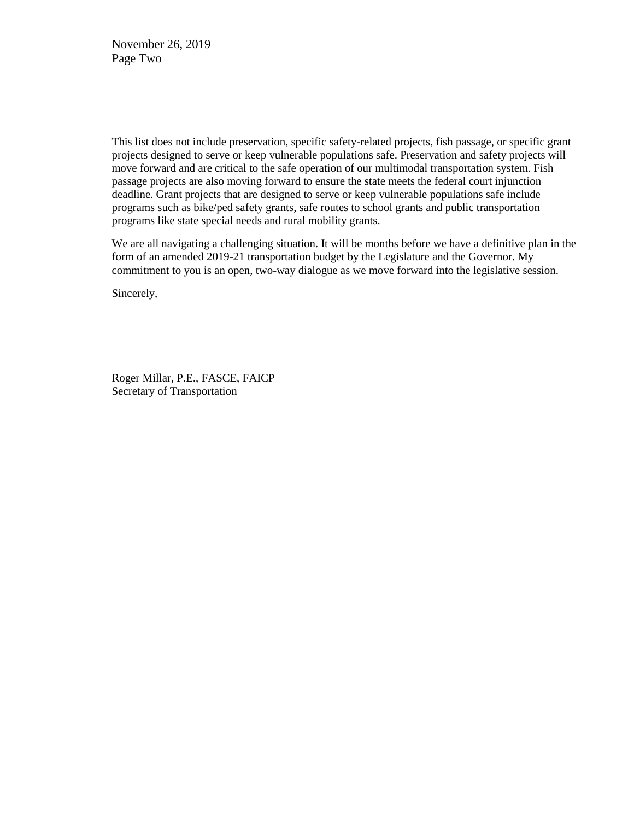November 26, 2019 Page Two

This list does not include preservation, specific safety-related projects, fish passage, or specific grant projects designed to serve or keep vulnerable populations safe. Preservation and safety projects will move forward and are critical to the safe operation of our multimodal transportation system. Fish passage projects are also moving forward to ensure the state meets the federal court injunction deadline. Grant projects that are designed to serve or keep vulnerable populations safe include programs such as bike/ped safety grants, safe routes to school grants and public transportation programs like state special needs and rural mobility grants.

We are all navigating a challenging situation. It will be months before we have a definitive plan in the form of an amended 2019-21 transportation budget by the Legislature and the Governor. My commitment to you is an open, two-way dialogue as we move forward into the legislative session.

Sincerely,

Roger Millar, P.E., FASCE, FAICP Secretary of Transportation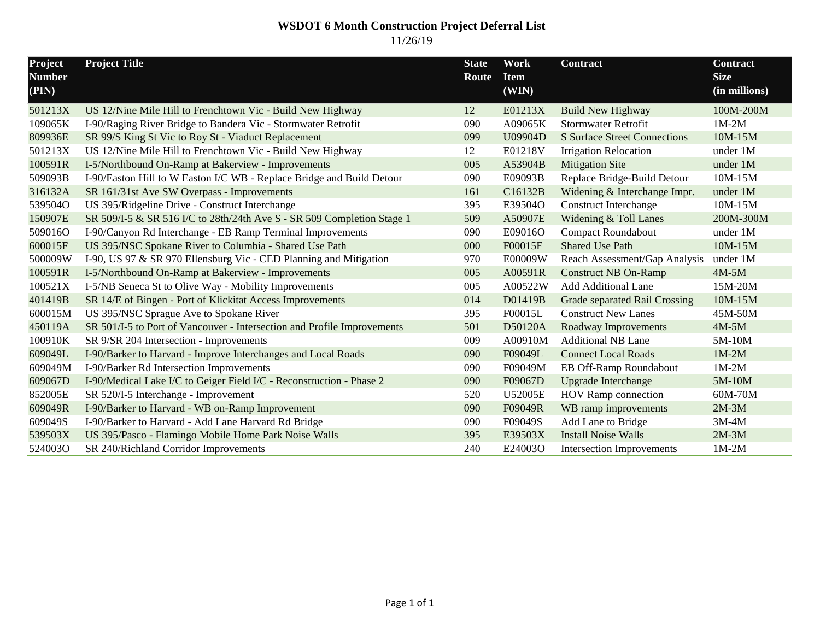#### **WSDOT 6 Month Construction Project Deferral List** 11/26/19

| Project<br><b>Number</b><br>(PIN) | <b>Project Title</b>                                                    | <b>State</b><br>Route | Work<br><b>Item</b><br>(WIN) | Contract                            | <b>Contract</b><br><b>Size</b><br>(in millions) |
|-----------------------------------|-------------------------------------------------------------------------|-----------------------|------------------------------|-------------------------------------|-------------------------------------------------|
| 501213X                           | US 12/Nine Mile Hill to Frenchtown Vic - Build New Highway              | 12                    | E01213X                      | <b>Build New Highway</b>            | 100M-200M                                       |
| 109065K                           | I-90/Raging River Bridge to Bandera Vic - Stormwater Retrofit           | 090                   | A09065K                      | <b>Stormwater Retrofit</b>          | $1M-2M$                                         |
| 809936E                           | SR 99/S King St Vic to Roy St - Viaduct Replacement                     | 099                   | U09904D                      | <b>S</b> Surface Street Connections | 10M-15M                                         |
| 501213X                           | US 12/Nine Mile Hill to Frenchtown Vic - Build New Highway              | 12                    | E01218V                      | <b>Irrigation Relocation</b>        | under 1M                                        |
| 100591R                           | I-5/Northbound On-Ramp at Bakerview - Improvements                      | 005                   | A53904B                      | <b>Mitigation Site</b>              | under 1M                                        |
| 509093B                           | I-90/Easton Hill to W Easton I/C WB - Replace Bridge and Build Detour   | 090                   | E09093B                      | Replace Bridge-Build Detour         | 10M-15M                                         |
| 316132A                           | SR 161/31st Ave SW Overpass - Improvements                              | 161                   | C16132B                      | Widening & Interchange Impr.        | under 1M                                        |
| 539504O                           | US 395/Ridgeline Drive - Construct Interchange                          | 395                   | E39504O                      | <b>Construct Interchange</b>        | 10M-15M                                         |
| 150907E                           | SR 509/I-5 & SR 516 I/C to 28th/24th Ave S - SR 509 Completion Stage 1  | 509                   | A50907E                      | Widening & Toll Lanes               | 200M-300M                                       |
| 509016O                           | I-90/Canyon Rd Interchange - EB Ramp Terminal Improvements              | 090                   | E09016O                      | <b>Compact Roundabout</b>           | under 1M                                        |
| 600015F                           | US 395/NSC Spokane River to Columbia - Shared Use Path                  | 000                   | F00015F                      | <b>Shared Use Path</b>              | 10M-15M                                         |
| 500009W                           | I-90, US 97 & SR 970 Ellensburg Vic - CED Planning and Mitigation       | 970                   | E00009W                      | Reach Assessment/Gap Analysis       | under 1M                                        |
| 100591R                           | I-5/Northbound On-Ramp at Bakerview - Improvements                      | 005                   | A00591R                      | <b>Construct NB On-Ramp</b>         | $4M-5M$                                         |
| 100521X                           | I-5/NB Seneca St to Olive Way - Mobility Improvements                   | 005                   | A00522W                      | <b>Add Additional Lane</b>          | 15M-20M                                         |
| 401419B                           | SR 14/E of Bingen - Port of Klickitat Access Improvements               | 014                   | D01419B                      | Grade separated Rail Crossing       | 10M-15M                                         |
| 600015M                           | US 395/NSC Sprague Ave to Spokane River                                 | 395                   | F00015L                      | <b>Construct New Lanes</b>          | 45M-50M                                         |
| 450119A                           | SR 501/I-5 to Port of Vancouver - Intersection and Profile Improvements | 501                   | D50120A                      | Roadway Improvements                | $4M-5M$                                         |
| 100910K                           | SR 9/SR 204 Intersection - Improvements                                 | 009                   | A00910M                      | <b>Additional NB Lane</b>           | 5M-10M                                          |
| 609049L                           | I-90/Barker to Harvard - Improve Interchanges and Local Roads           | 090                   | F09049L                      | <b>Connect Local Roads</b>          | $1M-2M$                                         |
| 609049M                           | I-90/Barker Rd Intersection Improvements                                | 090                   | F09049M                      | EB Off-Ramp Roundabout              | $1M-2M$                                         |
| 609067D                           | I-90/Medical Lake I/C to Geiger Field I/C - Reconstruction - Phase 2    | 090                   | F09067D                      | <b>Upgrade Interchange</b>          | 5M-10M                                          |
| 852005E                           | SR 520/I-5 Interchange - Improvement                                    | 520                   | U52005E                      | <b>HOV Ramp connection</b>          | 60M-70M                                         |
| 609049R                           | I-90/Barker to Harvard - WB on-Ramp Improvement                         | 090                   | F09049R                      | WB ramp improvements                | $2M-3M$                                         |
| 609049S                           | I-90/Barker to Harvard - Add Lane Harvard Rd Bridge                     | 090                   | F09049S                      | Add Lane to Bridge                  | $3M-4M$                                         |
| 539503X                           | US 395/Pasco - Flamingo Mobile Home Park Noise Walls                    | 395                   | E39503X                      | <b>Install Noise Walls</b>          | $2M-3M$                                         |
| 524003O                           | SR 240/Richland Corridor Improvements                                   | 240                   | E24003O                      | <b>Intersection Improvements</b>    | $1M-2M$                                         |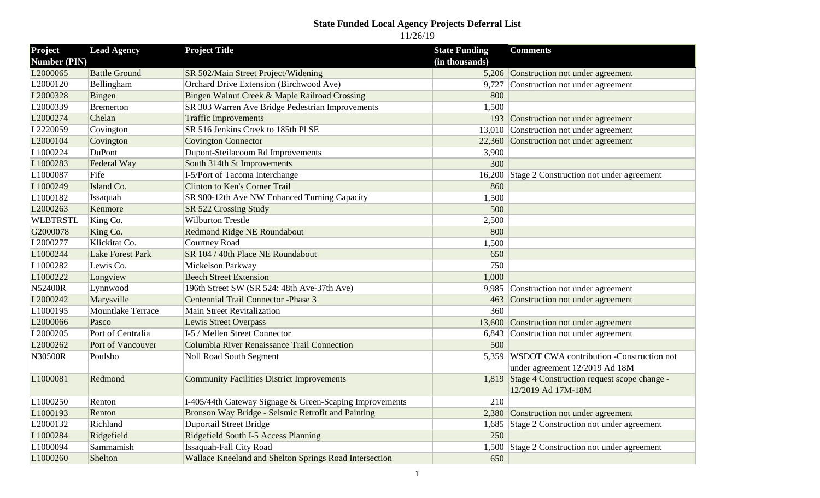# **State Funded Local Agency Projects Deferral List**

11/26/19

| Project              | <b>Lead Agency</b>       | <b>Project Title</b>                                    | <b>State Funding</b> | <b>Comments</b>                                   |
|----------------------|--------------------------|---------------------------------------------------------|----------------------|---------------------------------------------------|
| <b>Number (PIN)</b>  |                          |                                                         | (in thousands)       |                                                   |
| L2000065             | <b>Battle Ground</b>     | SR 502/Main Street Project/Widening                     |                      | 5,206 Construction not under agreement            |
| L2000120             | Bellingham               | Orchard Drive Extension (Birchwood Ave)                 | 9,727                | Construction not under agreement                  |
| L2000328             | Bingen                   | Bingen Walnut Creek & Maple Railroad Crossing           | 800                  |                                                   |
| L2000339             | <b>Bremerton</b>         | SR 303 Warren Ave Bridge Pedestrian Improvements        | 1,500                |                                                   |
| L2000274             | Chelan                   | <b>Traffic Improvements</b>                             |                      | 193 Construction not under agreement              |
| L2220059             | Covington                | SR 516 Jenkins Creek to 185th Pl SE                     |                      | 13,010 Construction not under agreement           |
| L2000104             | Covington                | <b>Covington Connector</b>                              |                      | 22,360 Construction not under agreement           |
| L1000224             | DuPont                   | Dupont-Steilacoom Rd Improvements                       | 3,900                |                                                   |
| L1000283             | Federal Way              | South 314th St Improvements                             | 300                  |                                                   |
| L1000087             | Fife                     | I-5/Port of Tacoma Interchange                          | 16,200               | Stage 2 Construction not under agreement          |
| L1000249             | Island Co.               | Clinton to Ken's Corner Trail                           | 860                  |                                                   |
| L1000182             | Issaquah                 | SR 900-12th Ave NW Enhanced Turning Capacity            | 1,500                |                                                   |
| L2000263             | Kenmore                  | SR 522 Crossing Study                                   | 500                  |                                                   |
| <b>WLBTRSTL</b>      | King Co.                 | <b>Wilburton Trestle</b>                                | 2,500                |                                                   |
| G2000078             | King Co.                 | Redmond Ridge NE Roundabout                             | 800                  |                                                   |
| L2000277             | Klickitat Co.            | Courtney Road                                           | 1,500                |                                                   |
| L1000244             | <b>Lake Forest Park</b>  | SR 104 / 40th Place NE Roundabout                       | 650                  |                                                   |
| L1000282             | Lewis Co.                | Mickelson Parkway                                       | 750                  |                                                   |
| L1000222             | Longview                 | <b>Beech Street Extension</b>                           | 1,000                |                                                   |
| N52400R              | Lynnwood                 | 196th Street SW (SR 524: 48th Ave-37th Ave)             | 9,985                | Construction not under agreement                  |
| L2000242             | Marysville               | Centennial Trail Connector - Phase 3                    | 463                  | Construction not under agreement                  |
| L1000195             | <b>Mountlake Terrace</b> | Main Street Revitalization                              | 360                  |                                                   |
| L2000066             | Pasco                    | <b>Lewis Street Overpass</b>                            | 13,600               | Construction not under agreement                  |
| L <sub>2000205</sub> | Port of Centralia        | I-5 / Mellen Street Connector                           | 6,843                | Construction not under agreement                  |
| L2000262             | Port of Vancouver        | Columbia River Renaissance Trail Connection             | 500                  |                                                   |
| N30500R              | Poulsbo                  | Noll Road South Segment                                 |                      | 5,359 WSDOT CWA contribution -Construction not    |
|                      |                          |                                                         |                      | under agreement 12/2019 Ad 18M                    |
| L1000081             | Redmond                  | <b>Community Facilities District Improvements</b>       |                      | 1,819 Stage 4 Construction request scope change - |
|                      |                          |                                                         |                      | 12/2019 Ad 17M-18M                                |
| L1000250             | Renton                   | I-405/44th Gateway Signage & Green-Scaping Improvements | 210                  |                                                   |
| L1000193             | Renton                   | Bronson Way Bridge - Seismic Retrofit and Painting      |                      | 2,380 Construction not under agreement            |
| L2000132             | Richland                 | <b>Duportail Street Bridge</b>                          |                      | 1,685 Stage 2 Construction not under agreement    |
| L1000284             | Ridgefield               | Ridgefield South I-5 Access Planning                    | 250                  |                                                   |
| L1000094             | Sammamish                | Issaquah-Fall City Road                                 |                      | 1,500 Stage 2 Construction not under agreement    |
| L1000260             | Shelton                  | Wallace Kneeland and Shelton Springs Road Intersection  | 650                  |                                                   |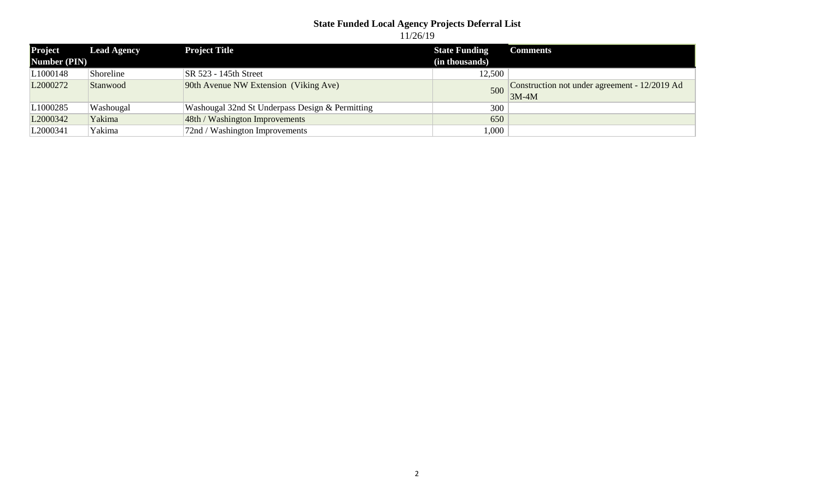# **State Funded Local Agency Projects Deferral List**

11/26/19

| Project              | <b>Lead Agency</b> | <b>Project Title</b>                            | <b>State Funding</b> | Comments                                                 |
|----------------------|--------------------|-------------------------------------------------|----------------------|----------------------------------------------------------|
| Number (PIN)         |                    |                                                 | (in thousands)       |                                                          |
| L1000148             | Shoreline          | <b>SR 523 - 145th Street</b>                    | 12,500               |                                                          |
| L <sub>2000272</sub> | Stanwood           | 90th Avenue NW Extension (Viking Ave)           | 500                  | Construction not under agreement - 12/2019 Ad<br>$3M-4M$ |
| L1000285             | Washougal          | Washougal 32nd St Underpass Design & Permitting | 300                  |                                                          |
| L <sub>2000342</sub> | Yakima             | 48th / Washington Improvements                  | 650                  |                                                          |
| L2000341             | Yakima             | 72nd / Washington Improvements                  | 000,                 |                                                          |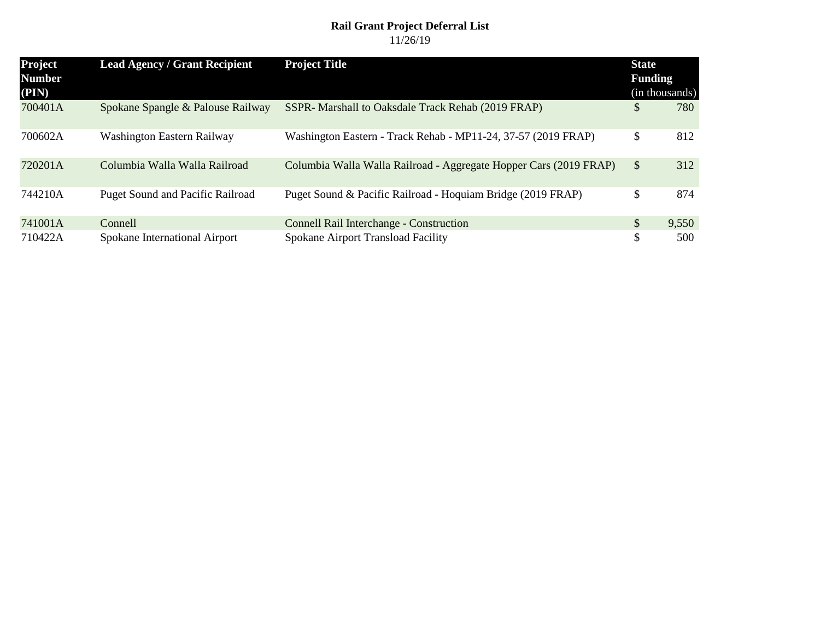#### **Rail Grant Project Deferral List** 11/26/19

| <b>Project</b><br><b>Number</b><br>(PIN) | <b>Lead Agency / Grant Recipient</b>    | <b>Project Title</b>                                              | <b>State</b><br><b>Funding</b><br>(in thousands) |       |
|------------------------------------------|-----------------------------------------|-------------------------------------------------------------------|--------------------------------------------------|-------|
| 700401A                                  | Spokane Spangle & Palouse Railway       | SSPR- Marshall to Oaksdale Track Rehab (2019 FRAP)                | \$                                               | 780   |
| 700602A                                  | Washington Eastern Railway              | Washington Eastern - Track Rehab - MP11-24, 37-57 (2019 FRAP)     | \$                                               | 812   |
| 720201A                                  | Columbia Walla Walla Railroad           | Columbia Walla Walla Railroad - Aggregate Hopper Cars (2019 FRAP) | \$                                               | 312   |
| 744210A                                  | <b>Puget Sound and Pacific Railroad</b> | Puget Sound & Pacific Railroad - Hoquiam Bridge (2019 FRAP)       | \$                                               | 874   |
| 741001A                                  | Connell                                 | <b>Connell Rail Interchange - Construction</b>                    | \$                                               | 9,550 |
| 710422A                                  | Spokane International Airport           | Spokane Airport Transload Facility                                | \$                                               | 500   |